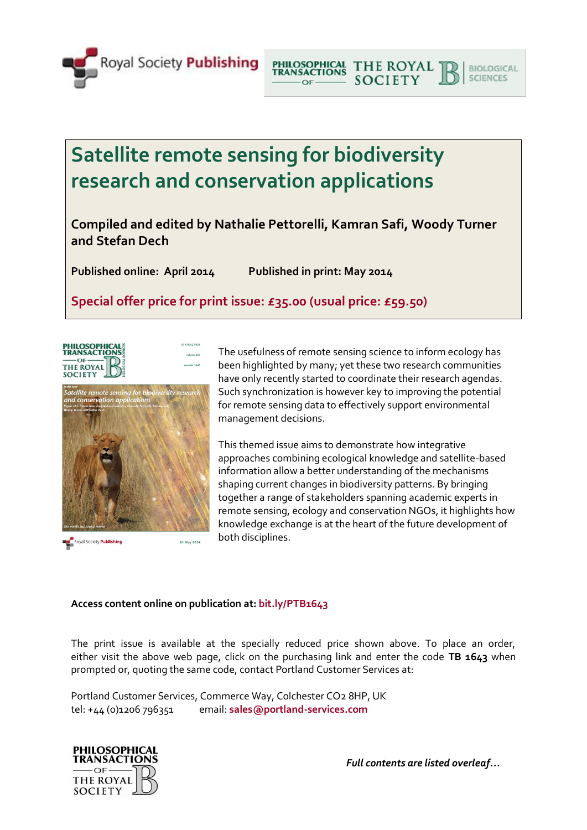

**Satellite remote sensing for biodiversity research and conservation applications**

**Compiled and edited by Nathalie Pettorelli, Kamran Safi, Woody Turner and Stefan Dech**

**Published online: April 2014 Published in print: May 2014**

**Special offer price for print issue: £35.00 (usual price: £59.50)**



Royal Society Publishing

The usefulness of remote sensing science to inform ecology has been highlighted by many; yet these two research communities have only recently started to coordinate their research agendas. Such synchronization is however key to improving the potential for remote sensing data to effectively support environmental management decisions.

PHILOSOPHICAL THE ROYAL

 $OF.$ 

**SOCIETY** 

**BIOLOGICAL** 

SCIENCES

This themed issue aims to demonstrate how integrative approaches combining ecological knowledge and satellite-based information allow a better understanding of the mechanisms shaping current changes in biodiversity patterns. By bringing together a range of stakeholders spanning academic experts in remote sensing, ecology and conservation NGOs, it highlights how knowledge exchange is at the heart of the future development of both disciplines.

## **Access content online on publication at: bit.ly/PTB1643**

26 May 2014

The print issue is available at the specially reduced price shown above. To place an order, either visit the above web page, click on the purchasing link and enter the code **TB 1643** when prompted or, quoting the same code, contact Portland Customer Services at:

Portland Customer Services, Commerce Way, Colchester CO2 8HP, UK tel: +44 (0)1206 796351 email: **[sales@portland-services.com](mailto:sales@portland-services.com)**



*Full contents are listed overleaf…*